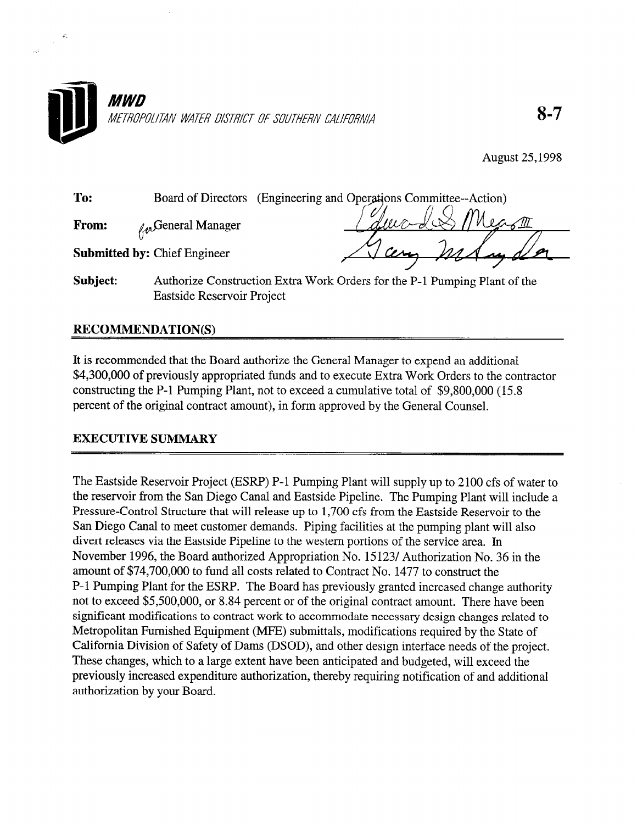

August 25,199s

To: Board of Directors (Engineering and Operations Committee--Action) From: y. eneral Manager Submitted by: Chief Engineer Subject: Authorize Construction Extra Work Orders for the P-l Pumping Plant of the Eastside Reservoir Project

#### RECOMMENDATION(S)

It is recommended that the Board authorize the General Manager to expend an additional \$4,300,000 of previously appropriated funds and to execute Extra Work Orders to the contractor constructing the P-1 Pumping Plant, not to exceed a cumulative total of  $$9,800,000$  (15.8) percent of the original contract amount), in form approved by the General Counsel.

#### EXECUTIVE SUMMARY

The Eastside Reservoir Project (ESRP) P-l Pumping Plant will supply up to 2100 cfs of water to the reservoir from the San Diego Canal and Eastside Pipeline. The Pumping Plant will include a Pressure-Control Structure that will release up to 1,700 cfs from the Eastside Reservoir to the San Diego Canal to meet customer demands. Piping facilities at the pumping plant will also divert releases via the Eastside Pipeline to the western portions of the service area. In November 1996, the Board authorized Appropriation No. 15123/ Authorization No. 36 in the amount of \$74,700,000 to fund all costs related to Contract No. 1477 to construct the P-l Pumping Plant for the ESRP. The Board has previously granted increased change authority not to exceed \$5,500,000, or 8.84 percent or of the original contract amount. There have been significant modifications to contract work to accommodate necessary design changes related to Metropolitan Furnished Equipment (MFE) submittals, modifications required by the State of California Division of Safety of Dams (DSOD), and other design interface needs of the project. These changes, which to a large extent have been anticipated and budgeted, will exceed the previously increased expenditure authorization, thereby requiring notification of and additional authorization by your Board.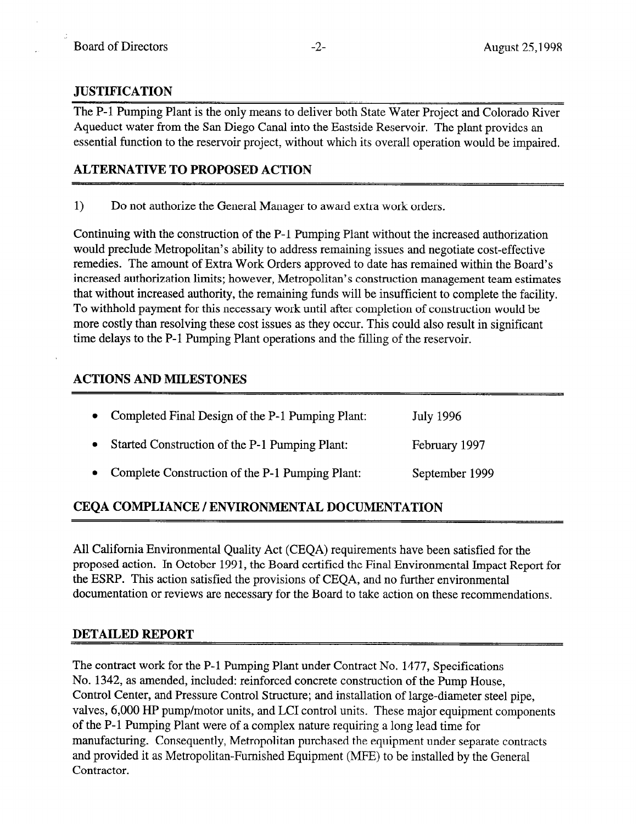.,

### **JUSTIFICATION**

The P-l Pumping Plant is the only means to deliver both State Water Project and Colorado River Aqueduct water from the San Diego Canal into the Eastside Reservoir. The plant provides an essential function to the reservoir project, without which its overall operation would be impaired.

## ALTERNATIVE TO PROPOSED ACTION

1) Do not authorize the General Manager to award extra work orders.

Continuing with the construction of the P-l Pumping Plant without the increased authorization would preclude Metropolitan's ability to address remaining issues and negotiate cost-effective remedies. The amount of Extra Work Orders approved to date has remained within the Board's increased authorization limits; however, Metropolitan's construction management team estimates that without increased authority, the remaining funds will be insufficient to complete the facility. To withhold payment for this necessary work until after completion of construction would be more costly than resolving these cost issues as they occur. This could also result in significant time delays to the P-l Pumping Plant operations and the filling of the reservoir.

# ACTIONS AND MILESTONES

| Completed Final Design of the P-1 Pumping Plant: | July 1996      |
|--------------------------------------------------|----------------|
| • Started Construction of the P-1 Pumping Plant: | February 1997  |
| Complete Construction of the P-1 Pumping Plant:  | September 1999 |

# CEQA COMPLIANCE / ENVIRONMENTAL DOCUMENTATION

All California Environmental Quality Act (CEQA) requirements have been satisfied for the proposed action. In October 1991, the Board certified the Final Environmental Impact Report for the ESRP. This action satisfied the provisions of CEQA, and no further environmental documentation or reviews are necessary for the Board to take action on these recommendations.

# DETAILED REPORT

The contract work for the P-l Pumping Plant under Contract No. 1477, Specifications No. 1342, as amended, included: reinforced concrete construction of the Pump House, Control Center, and Pressure Control Structure; and installation of large-diameter steel pipe, valves, 6,000 HP pump/motor units, and LCI control units. These major equipment components of the P-l Pumping Plant were of a complex nature requiring a long lead time for manufacturing. Consequently, Metropolitan purchased the equipment under separate contracts and provided it as Metropolitan-Furnished Equipment (MFE) to be installed by the General Contractor.